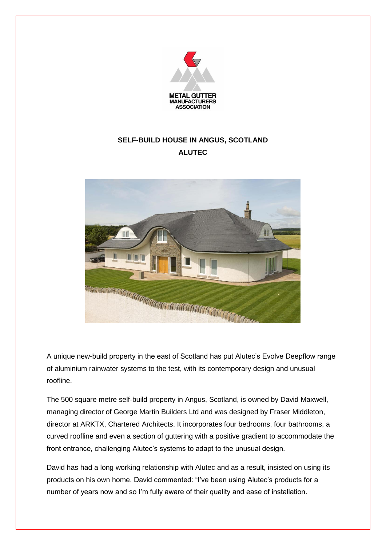

## **SELF-BUILD HOUSE IN ANGUS, SCOTLAND ALUTEC**



A unique new-build property in the east of Scotland has put Alutec's Evolve Deepflow range of aluminium rainwater systems to the test, with its contemporary design and unusual roofline.

The 500 square metre self-build property in Angus, Scotland, is owned by David Maxwell, managing director of George Martin Builders Ltd and was designed by Fraser Middleton, director at ARKTX, Chartered Architects. It incorporates four bedrooms, four bathrooms, a curved roofline and even a section of guttering with a positive gradient to accommodate the front entrance, challenging Alutec's systems to adapt to the unusual design.

David has had a long working relationship with Alutec and as a result, insisted on using its products on his own home. David commented: "I've been using Alutec's products for a number of years now and so I'm fully aware of their quality and ease of installation.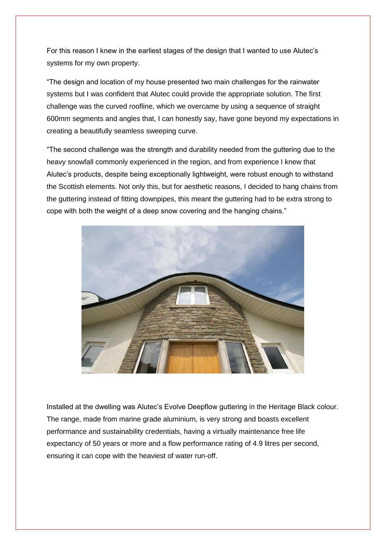For this reason I knew in the earliest stages of the design that I wanted to use Alutec's systems for my own property.

"The design and location of my house presented two main challenges for the rainwater systems but I was confident that Alutec could provide the appropriate solution. The first challenge was the curved roofline, which we overcame by using a sequence of straight 600mm segments and angles that, I can honestly say, have gone beyond my expectations in creating a beautifully seamless sweeping curve.

"The second challenge was the strength and durability needed from the guttering due to the heavy snowfall commonly experienced in the region, and from experience I knew that Alutec's products, despite being exceptionally lightweight, were robust enough to withstand the Scottish elements. Not only this, but for aesthetic reasons, I decided to hang chains from the guttering instead of fitting downpipes, this meant the guttering had to be extra strong to cope with both the weight of a deep snow covering and the hanging chains."



Installed at the dwelling was Alutec's Evolve Deepflow guttering in the Heritage Black colour. The range, made from marine grade aluminium, is very strong and boasts excellent performance and sustainability credentials, having a virtually maintenance free life expectancy of 50 years or more and a flow performance rating of 4.9 litres per second, ensuring it can cope with the heaviest of water run-off.